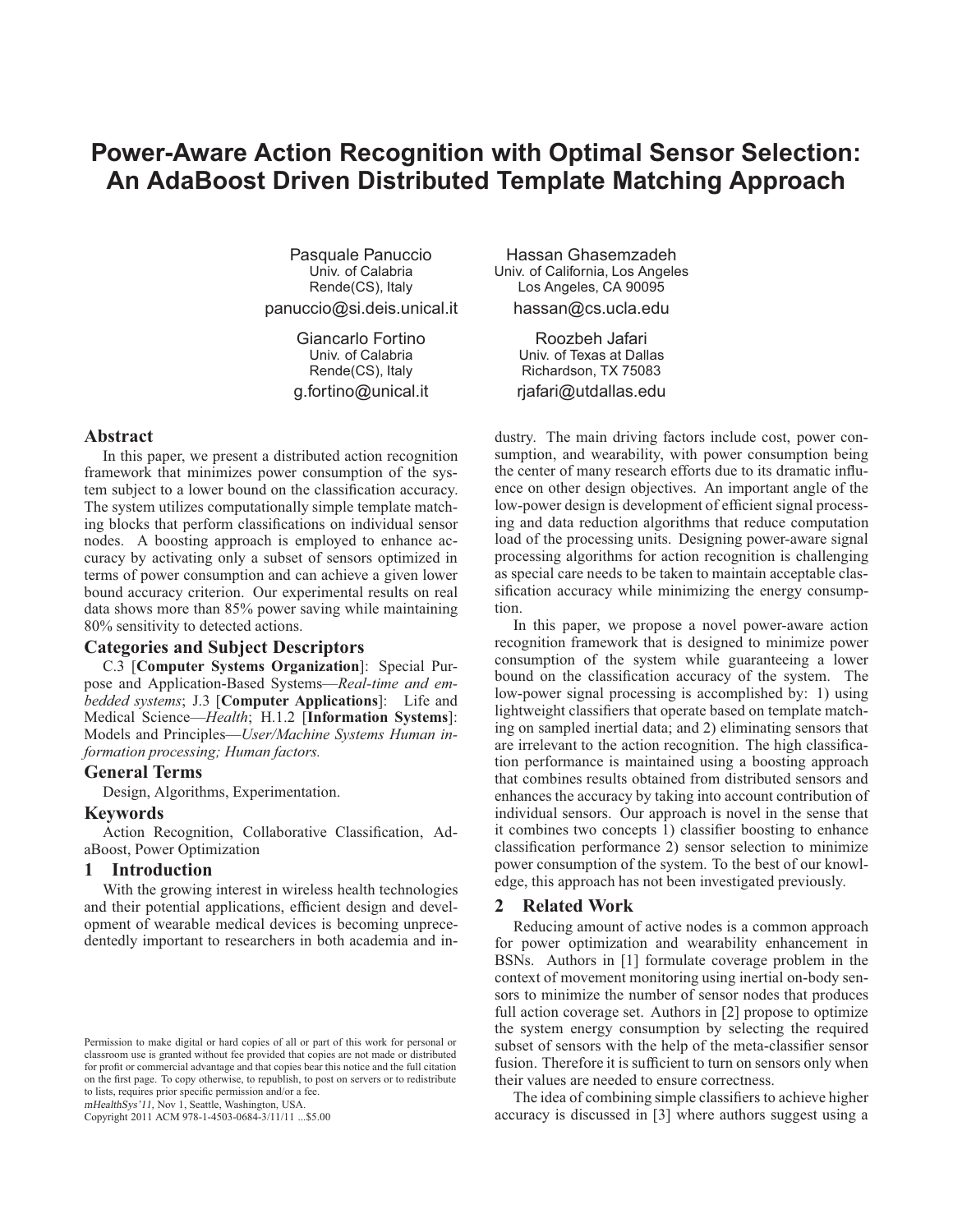# **Power-Aware Action Recognition with Optimal Sensor Selection: An AdaBoost Driven Distributed Template Matching Approach**

Pasquale Panuccio Univ. of Calabria Rende(CS), Italy panuccio@si.deis.unical.it

> Giancarlo Fortino Univ. of Calabria Rende(CS), Italy g.fortino@unical.it

# **Abstract**

In this paper, we present a distributed action recognition framework that minimizes power consumption of the system subject to a lower bound on the classification accuracy. The system utilizes computationally simple template matching blocks that perform classifications on individual sensor nodes. A boosting approach is employed to enhance accuracy by activating only a subset of sensors optimized in terms of power consumption and can achieve a given lower bound accuracy criterion. Our experimental results on real data shows more than 85% power saving while maintaining 80% sensitivity to detected actions.

#### **Categories and Subject Descriptors**

C.3 [**Computer Systems Organization**]: Special Purpose and Application-Based Systems—*Real-time and embedded systems*; J.3 [**Computer Applications**]: Life and Medical Science—*Health*; H.1.2 [**Information Systems**]: Models and Principles—*User/Machine Systems Human information processing; Human factors.*

# **General Terms**

Design, Algorithms, Experimentation.

#### **Keywords**

Action Recognition, Collaborative Classification, AdaBoost, Power Optimization

# **1 Introduction**

With the growing interest in wireless health technologies and their potential applications, efficient design and development of wearable medical devices is becoming unprecedentedly important to researchers in both academia and in-

mHealthSys'11, Nov 1, Seattle, Washington, USA.

Copyright 2011 ACM 978-1-4503-0684-3/11/11 ...\$5.00

Hassan Ghasemzadeh Univ. of California, Los Angeles Los Angeles, CA 90095 hassan@cs.ucla.edu

> Roozbeh Jafari Univ. of Texas at Dallas Richardson, TX 75083 rjafari@utdallas.edu

dustry. The main driving factors include cost, power consumption, and wearability, with power consumption being the center of many research efforts due to its dramatic influence on other design objectives. An important angle of the low-power design is development of efficient signal processing and data reduction algorithms that reduce computation load of the processing units. Designing power-aware signal processing algorithms for action recognition is challenging as special care needs to be taken to maintain acceptable classification accuracy while minimizing the energy consumption.

In this paper, we propose a novel power-aware action recognition framework that is designed to minimize power consumption of the system while guaranteeing a lower bound on the classification accuracy of the system. The low-power signal processing is accomplished by: 1) using lightweight classifiers that operate based on template matching on sampled inertial data; and 2) eliminating sensors that are irrelevant to the action recognition. The high classification performance is maintained using a boosting approach that combines results obtained from distributed sensors and enhances the accuracy by taking into account contribution of individual sensors. Our approach is novel in the sense that it combines two concepts 1) classifier boosting to enhance classification performance 2) sensor selection to minimize power consumption of the system. To the best of our knowledge, this approach has not been investigated previously.

## **2 Related Work**

Reducing amount of active nodes is a common approach for power optimization and wearability enhancement in BSNs. Authors in [1] formulate coverage problem in the context of movement monitoring using inertial on-body sensors to minimize the number of sensor nodes that produces full action coverage set. Authors in [2] propose to optimize the system energy consumption by selecting the required subset of sensors with the help of the meta-classifier sensor fusion. Therefore it is sufficient to turn on sensors only when their values are needed to ensure correctness.

The idea of combining simple classifiers to achieve higher accuracy is discussed in [3] where authors suggest using a

Permission to make digital or hard copies of all or part of this work for personal or classroom use is granted without fee provided that copies are not made or distributed for profit or commercial advantage and that copies bear this notice and the full citation on the first page. To copy otherwise, to republish, to post on servers or to redistribute to lists, requires prior specific permission and/or a fee.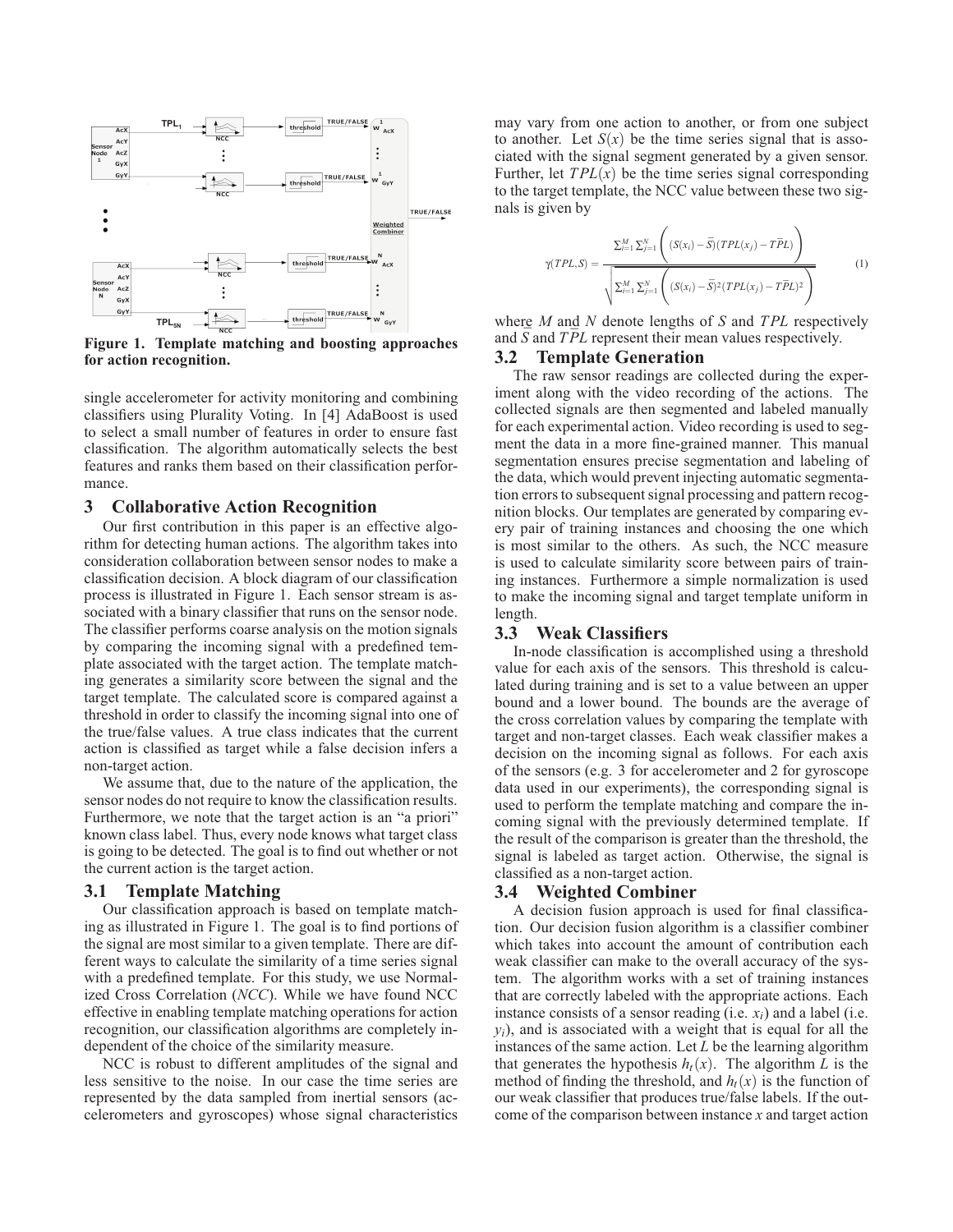

**Figure 1. Template matching and boosting approaches for action recognition.**

single accelerometer for activity monitoring and combining classifiers using Plurality Voting. In [4] AdaBoost is used to select a small number of features in order to ensure fast classification. The algorithm automatically selects the best features and ranks them based on their classification performance.

# **3 Collaborative Action Recognition**

Our first contribution in this paper is an effective algorithm for detecting human actions. The algorithm takes into consideration collaboration between sensor nodes to make a classification decision. A block diagram of our classification process is illustrated in Figure 1. Each sensor stream is associated with a binary classifier that runs on the sensor node. The classifier performs coarse analysis on the motion signals by comparing the incoming signal with a predefined template associated with the target action. The template matching generates a similarity score between the signal and the target template. The calculated score is compared against a threshold in order to classify the incoming signal into one of the true/false values. A true class indicates that the current action is classified as target while a false decision infers a non-target action.

We assume that, due to the nature of the application, the sensor nodes do not require to know the classification results. Furthermore, we note that the target action is an "a priori" known class label. Thus, every node knows what target class is going to be detected. The goal is to find out whether or not the current action is the target action.

#### **3.1 Template Matching**

Our classification approach is based on template matching as illustrated in Figure 1. The goal is to find portions of the signal are most similar to a given template. There are different ways to calculate the similarity of a time series signal with a predefined template. For this study, we use Normalized Cross Correlation (*NCC*). While we have found NCC effective in enabling template matching operations for action recognition, our classification algorithms are completely independent of the choice of the similarity measure.

NCC is robust to different amplitudes of the signal and less sensitive to the noise. In our case the time series are represented by the data sampled from inertial sensors (accelerometers and gyroscopes) whose signal characteristics may vary from one action to another, or from one subject to another. Let  $S(x)$  be the time series signal that is associated with the signal segment generated by a given sensor. Further, let  $TPL(x)$  be the time series signal corresponding to the target template, the NCC value between these two signals is given by

$$
\gamma(TPL, S) = \frac{\sum_{i=1}^{M} \sum_{j=1}^{N} \left( (S(x_i) - \overline{S}) (TPL(x_j) - T\overline{PL}) \right)}{\sqrt{\sum_{i=1}^{M} \sum_{j=1}^{N} \left( (S(x_i) - \overline{S})^2 (TPL(x_j) - T\overline{PL})^2 \right)}}
$$
(1)

where *M* and *N* denote lengths of *S* and *T PL* respectively and *S* and *TPL* represent their mean values respectively.

# **3.2 Template Generation**

The raw sensor readings are collected during the experiment along with the video recording of the actions. The collected signals are then segmented and labeled manually for each experimental action. Video recording is used to segment the data in a more fine-grained manner. This manual segmentation ensures precise segmentation and labeling of the data, which would prevent injecting automatic segmentation errors to subsequent signal processing and pattern recognition blocks. Our templates are generated by comparing every pair of training instances and choosing the one which is most similar to the others. As such, the NCC measure is used to calculate similarity score between pairs of training instances. Furthermore a simple normalization is used to make the incoming signal and target template uniform in length.

# **3.3 Weak Classifiers**

In-node classification is accomplished using a threshold value for each axis of the sensors. This threshold is calculated during training and is set to a value between an upper bound and a lower bound. The bounds are the average of the cross correlation values by comparing the template with target and non-target classes. Each weak classifier makes a decision on the incoming signal as follows. For each axis of the sensors (e.g. 3 for accelerometer and 2 for gyroscope data used in our experiments), the corresponding signal is used to perform the template matching and compare the incoming signal with the previously determined template. If the result of the comparison is greater than the threshold, the signal is labeled as target action. Otherwise, the signal is classified as a non-target action.

# **3.4 Weighted Combiner**

A decision fusion approach is used for final classification. Our decision fusion algorithm is a classifier combiner which takes into account the amount of contribution each weak classifier can make to the overall accuracy of the system. The algorithm works with a set of training instances that are correctly labeled with the appropriate actions. Each instance consists of a sensor reading (i.e. *xi*) and a label (i.e.  $y_i$ ), and is associated with a weight that is equal for all the instances of the same action. Let *L* be the learning algorithm that generates the hypothesis  $h_t(x)$ . The algorithm *L* is the method of finding the threshold, and  $h_t(x)$  is the function of our weak classifier that produces true/false labels. If the outcome of the comparison between instance *x* and target action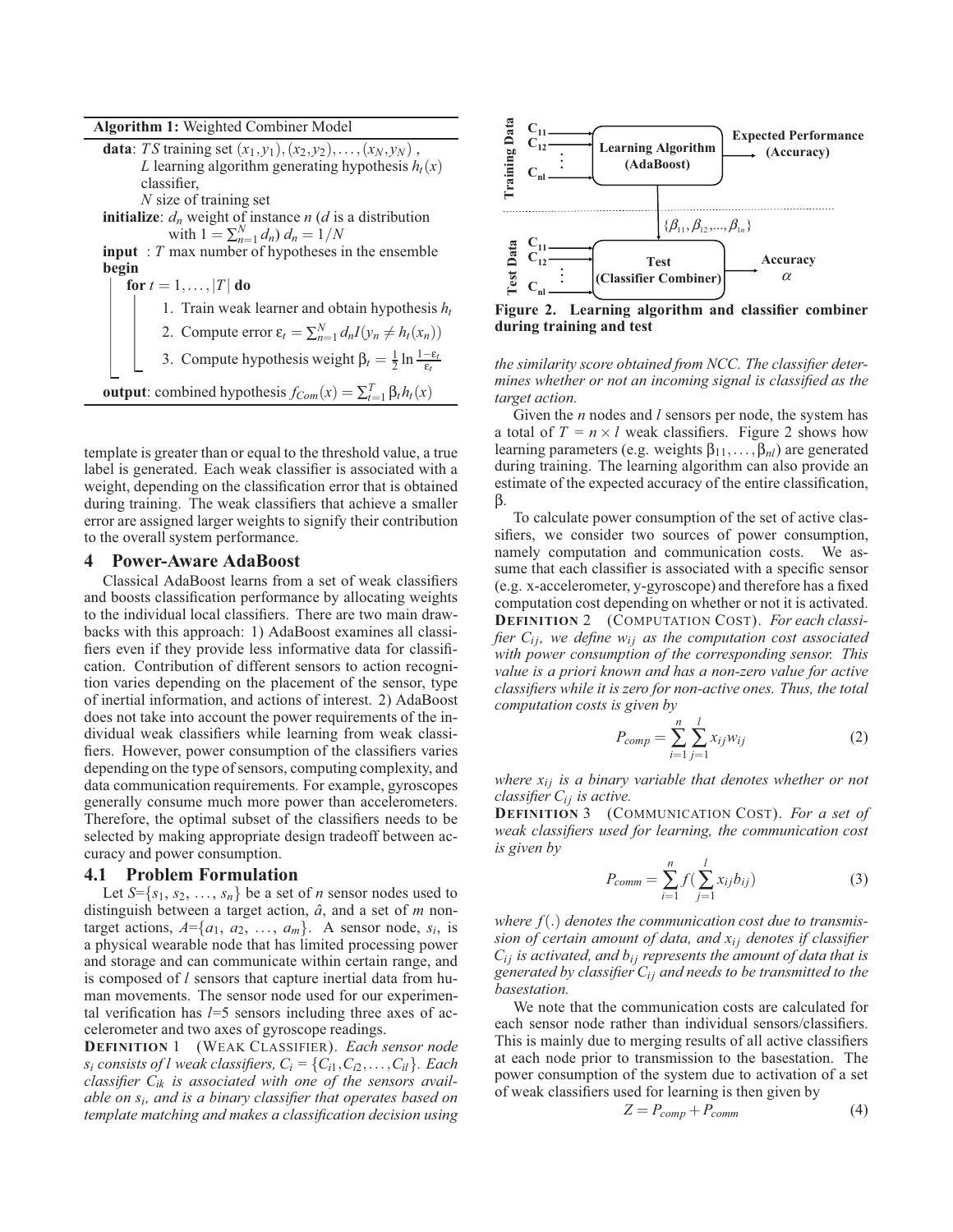**Algorithm 1:** Weighted Combiner Model **data**: *TS* training set  $(x_1, y_1), (x_2, y_2), \ldots, (x_N, y_N)$ , *L* learning algorithm generating hypothesis  $h_t(x)$ classifier, *N* size of training set **initialize**:  $d_n$  weight of instance  $n$  ( $d$  is a distribution with  $1 = \sum_{n=1}^{N} d_n d_n = 1/N$ **input** : *T* max number of hypotheses in the ensemble **begin for**  $t = 1, \ldots, |T|$  **do** 1. Train weak learner and obtain hypothesis  $h_t$ 2. Compute error  $\varepsilon_t = \sum_{n=1}^{N} d_n I(y_n \neq h_t(x_n))$ 3. Compute hypothesis weight  $\beta_t = \frac{1}{2} \ln \frac{1 - \varepsilon_t}{\varepsilon_t}$ **output**: combined hypothesis  $f_{Com}(x) = \sum_{t=1}^{T} \beta_t h_t(x)$ 

template is greater than or equal to the threshold value, a true label is generated. Each weak classifier is associated with a weight, depending on the classification error that is obtained during training. The weak classifiers that achieve a smaller error are assigned larger weights to signify their contribution to the overall system performance.

#### **4 Power-Aware AdaBoost**

Classical AdaBoost learns from a set of weak classifiers and boosts classification performance by allocating weights to the individual local classifiers. There are two main drawbacks with this approach: 1) AdaBoost examines all classifiers even if they provide less informative data for classification. Contribution of different sensors to action recognition varies depending on the placement of the sensor, type of inertial information, and actions of interest. 2) AdaBoost does not take into account the power requirements of the individual weak classifiers while learning from weak classifiers. However, power consumption of the classifiers varies depending on the type of sensors, computing complexity, and data communication requirements. For example, gyroscopes generally consume much more power than accelerometers. Therefore, the optimal subset of the classifiers needs to be selected by making appropriate design tradeoff between accuracy and power consumption.

#### **4.1 Problem Formulation**

Let  $S = \{s_1, s_2, \ldots, s_n\}$  be a set of *n* sensor nodes used to distinguish between a target action,  $\hat{a}$ , and a set of  $m$  nontarget actions,  $A = \{a_1, a_2, \ldots, a_m\}$ . A sensor node,  $s_i$ , is a physical wearable node that has limited processing power and storage and can communicate within certain range, and is composed of *l* sensors that capture inertial data from human movements. The sensor node used for our experimental verification has *l*=5 sensors including three axes of accelerometer and two axes of gyroscope readings.

**DEFINITION** 1 (WEAK CLASSIFIER). *Each sensor node s<sub>i</sub> consists of l weak classifiers,*  $C_i = \{C_{i1}, C_{i2}, \ldots, C_{il}\}$ *. Each classifier Cik is associated with one of the sensors available on si, and is a binary classifier that operates based on template matching and makes a classification decision using*



**Figure 2. Learning algorithm and classifier combiner during training and test**

*the similarity score obtained from NCC. The classifier determines whether or not an incoming signal is classified as the target action.*

Given the *n* nodes and *l* sensors per node, the system has a total of  $T = n \times l$  weak classifiers. Figure 2 shows how learning parameters (e.g. weights  $\beta_{11}, \dots, \beta_{nl}$ ) are generated during training. The learning algorithm can also provide an estimate of the expected accuracy of the entire classification, β.

To calculate power consumption of the set of active classifiers, we consider two sources of power consumption, namely computation and communication costs. We assume that each classifier is associated with a specific sensor (e.g. x-accelerometer, y-gyroscope) and therefore has a fixed computation cost depending on whether or not it is activated. **DEFINITION** 2 (COMPUTATION COST). *For each classifier*  $C_{ij}$ *, we define*  $w_{ij}$  *as the computation cost associated with power consumption of the corresponding sensor. This value is a priori known and has a non-zero value for active classifiers while it is zero for non-active ones. Thus, the total computation costs is given by*

$$
P_{comp} = \sum_{i=1}^{n} \sum_{j=1}^{l} x_{ij} w_{ij}
$$
 (2)

*where*  $x_{ij}$  *is a binary variable that denotes whether or not classifier*  $C_{ij}$  *is active.* 

**DEFINITION** 3 (COMMUNICATION COST). *For a set of weak classifiers used for learning, the communication cost is given by*

$$
P_{comm} = \sum_{i=1}^{n} f(\sum_{j=1}^{l} x_{ij} b_{ij})
$$
 (3)

*where f*(.) *denotes the communication cost due to transmission of certain amount of data, and xi j denotes if classifier*  $C_{ij}$  *is activated, and*  $b_{ij}$  *represents the amount of data that is generated by classifier Ci j and needs to be transmitted to the basestation.*

We note that the communication costs are calculated for each sensor node rather than individual sensors/classifiers. This is mainly due to merging results of all active classifiers at each node prior to transmission to the basestation. The power consumption of the system due to activation of a set of weak classifiers used for learning is then given by

$$
Z = P_{comp} + P_{comm}
$$
 (4)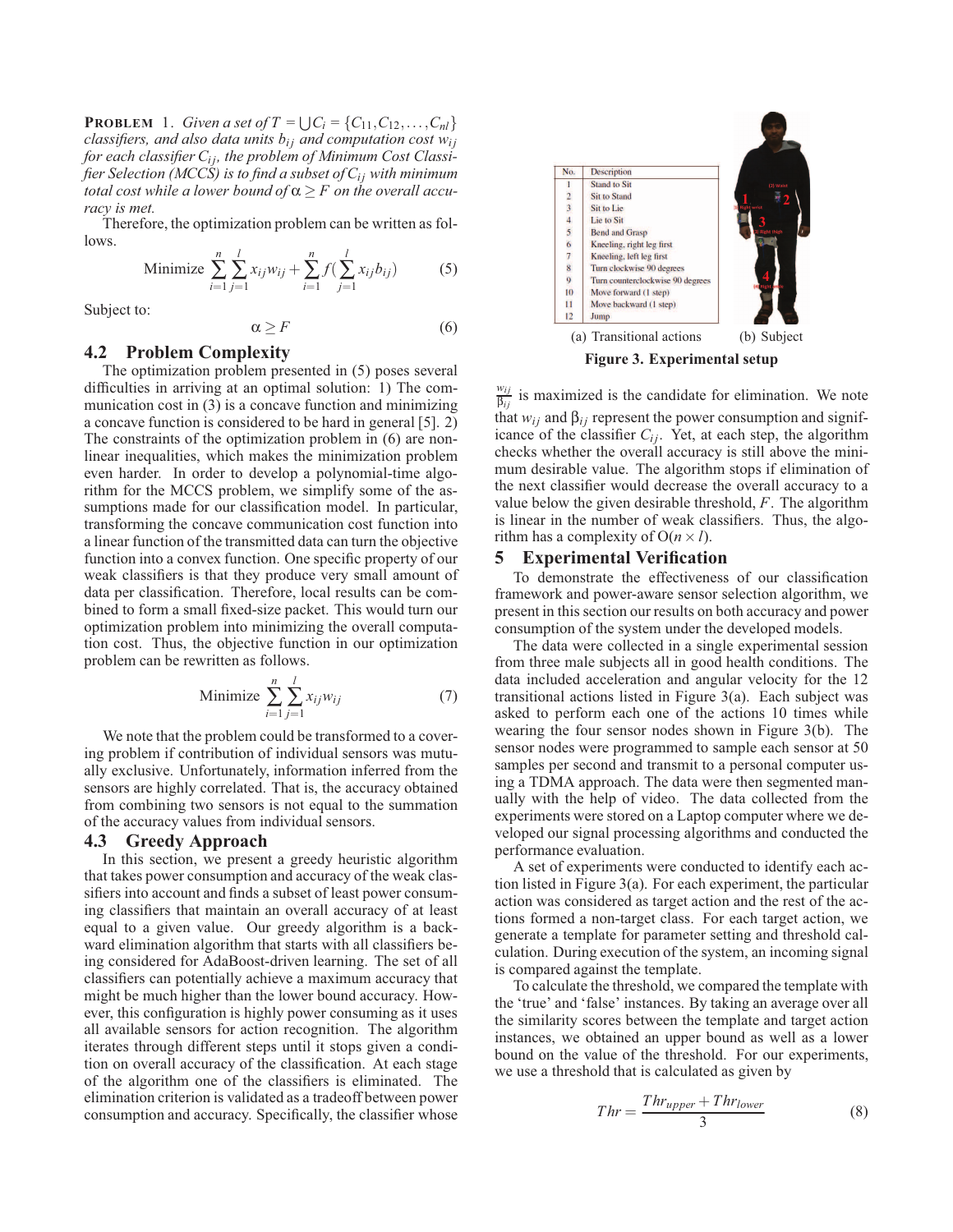**PROBLEM** 1. *Given a set of*  $T = \bigcup C_i = \{C_{11}, C_{12}, \ldots, C_{nl}\}$ *classifiers, and also data units*  $b_{ij}$  *and computation cost*  $w_{ij}$ for each classifier C<sub>ij</sub>, the problem of Minimum Cost Classi*fier Selection (MCCS) is to find a subset of*  $C_{ij}$  *with minimum total cost while a lower bound of*  $\alpha \geq F$  *on the overall accuracy is met.*

Therefore, the optimization problem can be written as follows.

Minimize 
$$
\sum_{i=1}^{n} \sum_{j=1}^{l} x_{ij} w_{ij} + \sum_{i=1}^{n} f(\sum_{j=1}^{l} x_{ij} b_{ij})
$$
 (5)

Subject to:

$$
\alpha \ge F \tag{6}
$$

# **4.2 Problem Complexity**

The optimization problem presented in (5) poses several difficulties in arriving at an optimal solution: 1) The communication cost in (3) is a concave function and minimizing a concave function is considered to be hard in general [5]. 2) The constraints of the optimization problem in (6) are nonlinear inequalities, which makes the minimization problem even harder. In order to develop a polynomial-time algorithm for the MCCS problem, we simplify some of the assumptions made for our classification model. In particular, transforming the concave communication cost function into a linear function of the transmitted data can turn the objective function into a convex function. One specific property of our weak classifiers is that they produce very small amount of data per classification. Therefore, local results can be combined to form a small fixed-size packet. This would turn our optimization problem into minimizing the overall computation cost. Thus, the objective function in our optimization problem can be rewritten as follows.

Minimize 
$$
\sum_{i=1}^{n} \sum_{j=1}^{l} x_{ij} w_{ij}
$$
 (7)

We note that the problem could be transformed to a covering problem if contribution of individual sensors was mutually exclusive. Unfortunately, information inferred from the sensors are highly correlated. That is, the accuracy obtained from combining two sensors is not equal to the summation of the accuracy values from individual sensors.

#### **4.3 Greedy Approach**

In this section, we present a greedy heuristic algorithm that takes power consumption and accuracy of the weak classifiers into account and finds a subset of least power consuming classifiers that maintain an overall accuracy of at least equal to a given value. Our greedy algorithm is a backward elimination algorithm that starts with all classifiers being considered for AdaBoost-driven learning. The set of all classifiers can potentially achieve a maximum accuracy that might be much higher than the lower bound accuracy. However, this configuration is highly power consuming as it uses all available sensors for action recognition. The algorithm iterates through different steps until it stops given a condition on overall accuracy of the classification. At each stage of the algorithm one of the classifiers is eliminated. The elimination criterion is validated as a tradeoff between power consumption and accuracy. Specifically, the classifier whose



**Figure 3. Experimental setup**

*wi j*  $\frac{w_{ij}}{\beta_{ij}}$  is maximized is the candidate for elimination. We note that  $w_{ij}$  and  $\beta_{ij}$  represent the power consumption and significance of the classifier  $C_{ij}$ . Yet, at each step, the algorithm checks whether the overall accuracy is still above the minimum desirable value. The algorithm stops if elimination of the next classifier would decrease the overall accuracy to a value below the given desirable threshold, *F*. The algorithm is linear in the number of weak classifiers. Thus, the algorithm has a complexity of  $O(n \times l)$ .

## **5 Experimental Verification**

To demonstrate the effectiveness of our classification framework and power-aware sensor selection algorithm, we present in this section our results on both accuracy and power consumption of the system under the developed models.

The data were collected in a single experimental session from three male subjects all in good health conditions. The data included acceleration and angular velocity for the 12 transitional actions listed in Figure 3(a). Each subject was asked to perform each one of the actions 10 times while wearing the four sensor nodes shown in Figure 3(b). The sensor nodes were programmed to sample each sensor at 50 samples per second and transmit to a personal computer using a TDMA approach. The data were then segmented manually with the help of video. The data collected from the experiments were stored on a Laptop computer where we developed our signal processing algorithms and conducted the performance evaluation.

A set of experiments were conducted to identify each action listed in Figure 3(a). For each experiment, the particular action was considered as target action and the rest of the actions formed a non-target class. For each target action, we generate a template for parameter setting and threshold calculation. During execution of the system, an incoming signal is compared against the template.

To calculate the threshold, we compared the template with the 'true' and 'false' instances. By taking an average over all the similarity scores between the template and target action instances, we obtained an upper bound as well as a lower bound on the value of the threshold. For our experiments, we use a threshold that is calculated as given by

$$
Thr = \frac{Thr_{upper} + Thr_{lower}}{3}
$$
 (8)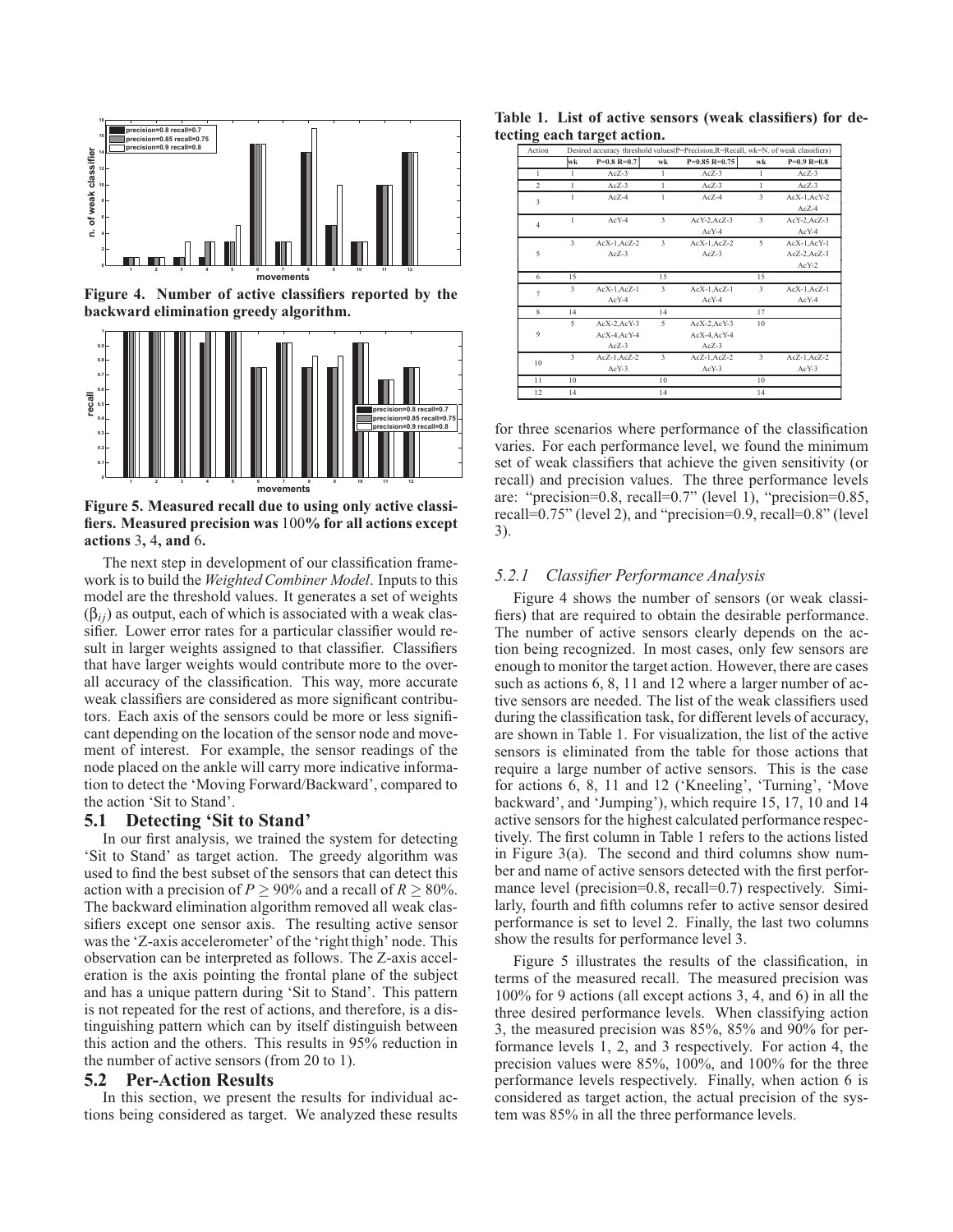

**Figure 4. Number of active classifiers reported by the backward elimination greedy algorithm.**



**Figure 5. Measured recall due to using only active classifiers. Measured precision was** 100**% for all actions except actions** 3**,** 4**, and** 6**.**

The next step in development of our classification framework is to build the *Weighted Combiner Model*. Inputs to this model are the threshold values. It generates a set of weights  $(\beta_{ii})$  as output, each of which is associated with a weak classifier. Lower error rates for a particular classifier would result in larger weights assigned to that classifier. Classifiers that have larger weights would contribute more to the overall accuracy of the classification. This way, more accurate weak classifiers are considered as more significant contributors. Each axis of the sensors could be more or less significant depending on the location of the sensor node and movement of interest. For example, the sensor readings of the node placed on the ankle will carry more indicative information to detect the 'Moving Forward/Backward', compared to the action 'Sit to Stand'.

# **5.1 Detecting 'Sit to Stand'**

In our first analysis, we trained the system for detecting 'Sit to Stand' as target action. The greedy algorithm was used to find the best subset of the sensors that can detect this action with a precision of  $P \ge 90\%$  and a recall of  $R \ge 80\%$ . The backward elimination algorithm removed all weak classifiers except one sensor axis. The resulting active sensor was the 'Z-axis accelerometer' of the 'right thigh' node. This observation can be interpreted as follows. The Z-axis acceleration is the axis pointing the frontal plane of the subject and has a unique pattern during 'Sit to Stand'. This pattern is not repeated for the rest of actions, and therefore, is a distinguishing pattern which can by itself distinguish between this action and the others. This results in 95% reduction in the number of active sensors (from 20 to 1).

#### **5.2 Per-Action Results**

In this section, we present the results for individual actions being considered as target. We analyzed these results

**Table 1. List of active sensors (weak classifiers) for detecting each target action.**

| Action         |                     |               |                          | Desired accuracy threshold values (P=Precision, R=Recall, wk=N. of weak classifiers) |                         |                   |
|----------------|---------------------|---------------|--------------------------|--------------------------------------------------------------------------------------|-------------------------|-------------------|
|                | wk                  | $P=0.8 R=0.7$ | wk                       | $P=0.85 R=0.75$                                                                      | wk                      | $P=0.9 R=0.8$     |
| 1              | 1                   | $AcZ-3$       | 1                        | $AcZ-3$                                                                              | 1                       | $AcZ-3$           |
| 2              | 1                   | $AcZ-3$       | 1                        | $AcZ-3$                                                                              | 1                       | $AcZ-3$           |
| 3              | ı                   | $AcZ-4$       | 1                        | $AcZ-4$                                                                              | 3                       | $AcX-1$ , $AcY-2$ |
|                |                     |               |                          |                                                                                      |                         | $AcZ-4$           |
| $\overline{4}$ | ı                   | AcY-4         | 3                        | AcY-2, AcZ-3                                                                         | $\overline{\mathbf{3}}$ | AcY-2, AcZ-3      |
|                |                     |               |                          | $AcY-4$                                                                              |                         | $AcY-4$           |
|                | 3                   | $AcX-1,AcZ-2$ | $\ddot{\mathbf{3}}$      | $AcX-1,AcZ-2$                                                                        | 5                       | $AcX-1,AcY-1$     |
| 5              |                     | $AcZ-3$       |                          | $AcZ-3$                                                                              |                         | AcZ-2,AcZ-3       |
|                |                     |               |                          |                                                                                      |                         | $AcY-2$           |
| 6              | 15                  |               | 15                       |                                                                                      | 15                      |                   |
| 7              | 3                   | AcX-1, AcZ-1  | 3                        | AcX-1, AcZ-1                                                                         | 3                       | $AcX-1$ , $AcZ-1$ |
|                |                     | $AcY-4$       |                          | $AcY-4$                                                                              |                         | $AcY-4$           |
| 8              | 14                  |               | 14                       |                                                                                      | 17                      |                   |
|                | 5                   | $AcX-2,AcY-3$ | $\overline{\phantom{0}}$ | $AcX-2,AcY-3$                                                                        | 10                      |                   |
| 9              |                     | $AcX-4,AcY-4$ |                          | $AcX-4,AcY-4$                                                                        |                         |                   |
|                |                     | $AcZ-3$       |                          | $AcZ-3$                                                                              |                         |                   |
| 10             | $\ddot{\mathbf{3}}$ | AcZ-1, AcZ-2  | $\overline{\mathcal{L}}$ | AcZ-1, AcZ-2                                                                         | 3                       | AcZ-1,AcZ-2       |
|                |                     | $AcY-3$       |                          | $AcY-3$                                                                              |                         | $AcY-3$           |
| 11             | 10                  |               | 10                       |                                                                                      | 10                      |                   |
| 12             | 14                  |               | 14                       |                                                                                      | 14                      |                   |

for three scenarios where performance of the classification varies. For each performance level, we found the minimum set of weak classifiers that achieve the given sensitivity (or recall) and precision values. The three performance levels are: "precision=0.8, recall=0.7" (level 1), "precision=0.85, recall=0.75" (level 2), and "precision=0.9, recall=0.8" (level 3).

# *5.2.1 Classifier Performance Analysis*

Figure 4 shows the number of sensors (or weak classifiers) that are required to obtain the desirable performance. The number of active sensors clearly depends on the action being recognized. In most cases, only few sensors are enough to monitor the target action. However, there are cases such as actions 6, 8, 11 and 12 where a larger number of active sensors are needed. The list of the weak classifiers used during the classification task, for different levels of accuracy, are shown in Table 1. For visualization, the list of the active sensors is eliminated from the table for those actions that require a large number of active sensors. This is the case for actions 6, 8, 11 and 12 ('Kneeling', 'Turning', 'Move backward', and 'Jumping'), which require 15, 17, 10 and 14 active sensors for the highest calculated performance respectively. The first column in Table 1 refers to the actions listed in Figure 3(a). The second and third columns show number and name of active sensors detected with the first performance level (precision=0.8, recall=0.7) respectively. Similarly, fourth and fifth columns refer to active sensor desired performance is set to level 2. Finally, the last two columns show the results for performance level 3.

Figure 5 illustrates the results of the classification, in terms of the measured recall. The measured precision was 100% for 9 actions (all except actions 3, 4, and 6) in all the three desired performance levels. When classifying action 3, the measured precision was 85%, 85% and 90% for performance levels 1, 2, and 3 respectively. For action 4, the precision values were 85%, 100%, and 100% for the three performance levels respectively. Finally, when action 6 is considered as target action, the actual precision of the system was 85% in all the three performance levels.